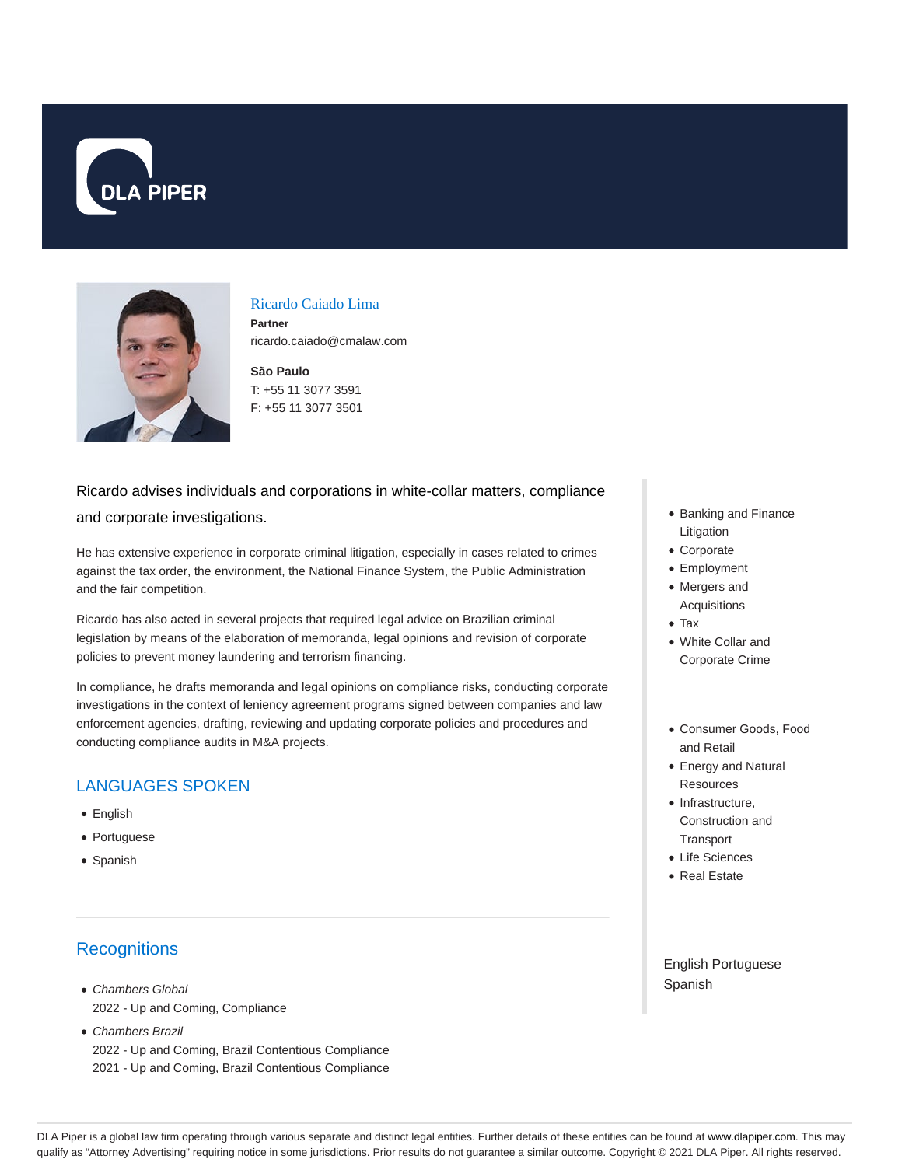



#### Ricardo Caiado Lima

**Partner** ricardo.caiado@cmalaw.com

#### **São Paulo** T: +55 11 3077 3591 F: +55 11 3077 3501

# Ricardo advises individuals and corporations in white-collar matters, compliance and corporate investigations.

He has extensive experience in corporate criminal litigation, especially in cases related to crimes against the tax order, the environment, the National Finance System, the Public Administration and the fair competition.

Ricardo has also acted in several projects that required legal advice on Brazilian criminal legislation by means of the elaboration of memoranda, legal opinions and revision of corporate policies to prevent money laundering and terrorism financing.

In compliance, he drafts memoranda and legal opinions on compliance risks, conducting corporate investigations in the context of leniency agreement programs signed between companies and law enforcement agencies, drafting, reviewing and updating corporate policies and procedures and conducting compliance audits in M&A projects.

## LANGUAGES SPOKEN

- English
- Portuguese
- Spanish

## **Recognitions**

- Chambers Global 2022 - Up and Coming, Compliance
- Chambers Brazil 2022 - Up and Coming, Brazil Contentious Compliance 2021 - Up and Coming, Brazil Contentious Compliance
- Banking and Finance Litigation
- Corporate
- Employment
- Mergers and Acquisitions
- Tax
- White Collar and Corporate Crime
- Consumer Goods, Food and Retail
- Energy and Natural **Resources**
- Infrastructure, Construction and **Transport**
- Life Sciences
- Real Estate

English Portuguese Spanish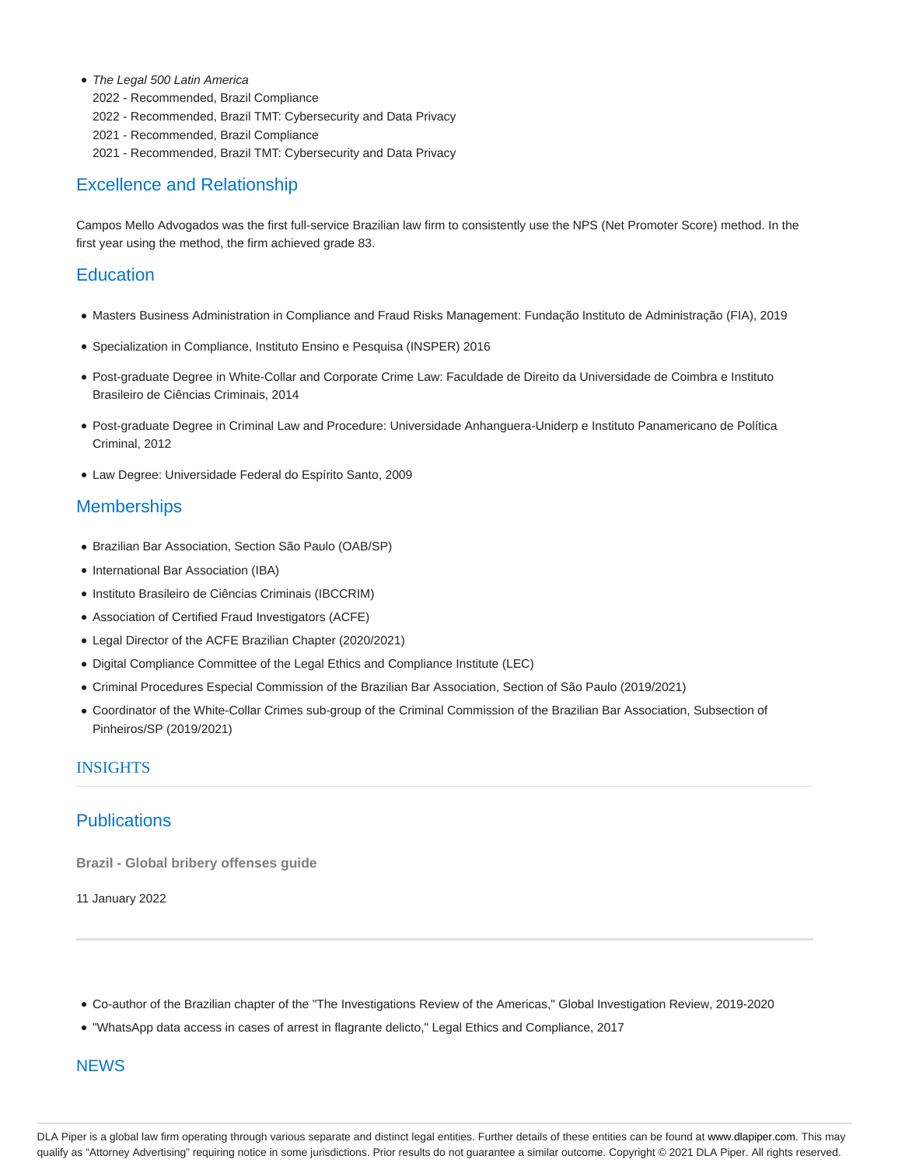- The Legal 500 Latin America
	- 2022 Recommended, Brazil Compliance
	- 2022 Recommended, Brazil TMT: Cybersecurity and Data Privacy
	- 2021 Recommended, Brazil Compliance
	- 2021 Recommended, Brazil TMT: Cybersecurity and Data Privacy

### Excellence and Relationship

Campos Mello Advogados was the first full-service Brazilian law firm to consistently use the NPS (Net Promoter Score) method. In the first year using the method, the firm achieved grade 83.

### **Education**

- Masters Business Administration in Compliance and Fraud Risks Management: Fundação Instituto de Administração (FIA), 2019
- Specialization in Compliance, Instituto Ensino e Pesquisa (INSPER) 2016
- Post-graduate Degree in White-Collar and Corporate Crime Law: Faculdade de Direito da Universidade de Coimbra e Instituto Brasileiro de Ciências Criminais, 2014
- Post-graduate Degree in Criminal Law and Procedure: Universidade Anhanguera-Uniderp e Instituto Panamericano de Política Criminal, 2012
- Law Degree: Universidade Federal do Espírito Santo, 2009

### **Memberships**

- Brazilian Bar Association, Section São Paulo (OAB/SP)
- International Bar Association (IBA)
- Instituto Brasileiro de Ciências Criminais (IBCCRIM)
- Association of Certified Fraud Investigators (ACFE)
- Legal Director of the ACFE Brazilian Chapter (2020/2021)
- Digital Compliance Committee of the Legal Ethics and Compliance Institute (LEC)
- Criminal Procedures Especial Commission of the Brazilian Bar Association, Section of São Paulo (2019/2021)
- Coordinator of the White-Collar Crimes sub-group of the Criminal Commission of the Brazilian Bar Association, Subsection of Pinheiros/SP (2019/2021)

### INSIGHTS

### **Publications**

**Brazil - Global bribery offenses guide**

11 January 2022

- Co-author of the Brazilian chapter of the "The Investigations Review of the Americas," Global Investigation Review, 2019-2020
- "WhatsApp data access in cases of arrest in flagrante delicto," Legal Ethics and Compliance, 2017

### **NEWS**

DLA Piper is a global law firm operating through various separate and distinct legal entities. Further details of these entities can be found at www.dlapiper.com. This may qualify as "Attorney Advertising" requiring notice in some jurisdictions. Prior results do not guarantee a similar outcome. Copyright @ 2021 DLA Piper. All rights reserved.